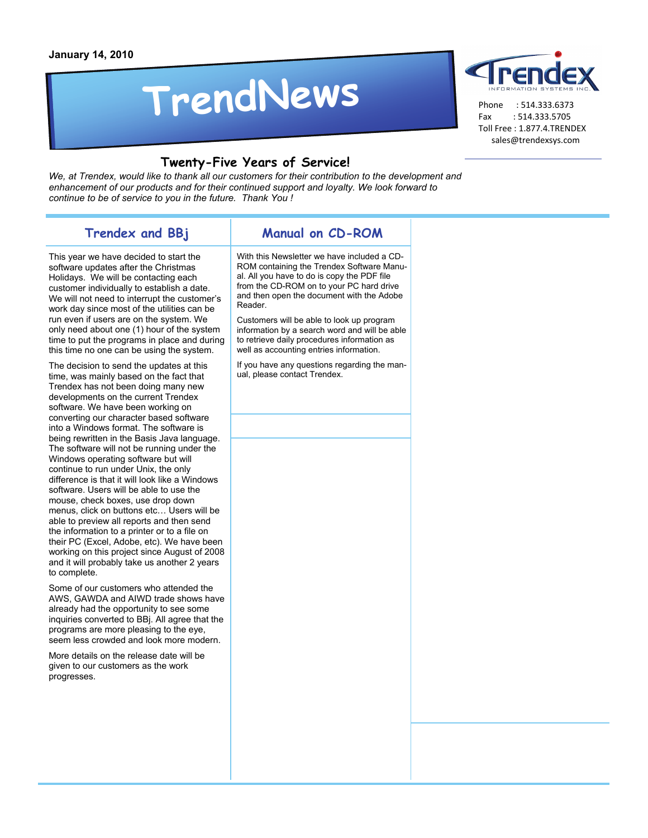# **TrendNews**



 Phone : 514.333.6373 Fax : 514.333.5705 Toll Free : 1.877.4.TRENDEX sales@trendexsys.com

#### **Twenty-Five Years of Service!**

We, at Trendex, would like to thank all our customers for their contribution to the development and *enhancement of our products and for their continued support and loyalty. We look forward to continue to be of service to you in the future. Thank You !* 

### **Trendex and BBj**

#### **Manual on CD-ROM**

This year we have decided to start the software updates after the Christmas Holidays. We will be contacting each customer individually to establish a date. We will not need to interrupt the customer's work day since most of the utilities can be run even if users are on the system. We only need about one (1) hour of the system time to put the programs in place and during this time no one can be using the system.

The decision to send the updates at this time, was mainly based on the fact that Trendex has not been doing many new developments on the current Trendex software. We have been working on converting our character based software into a Windows format. The software is being rewritten in the Basis Java language. The software will not be running under the Windows operating software but will continue to run under Unix, the only difference is that it will look like a Windows software. Users will be able to use the mouse, check boxes, use drop down menus, click on buttons etc… Users will be able to preview all reports and then send the information to a printer or to a file on their PC (Excel, Adobe, etc). We have been working on this project since August of 2008 and it will probably take us another 2 years to complete.

Some of our customers who attended the AWS, GAWDA and AIWD trade shows have already had the opportunity to see some inquiries converted to BBj. All agree that the programs are more pleasing to the eye, seem less crowded and look more modern.

More details on the release date will be given to our customers as the work progresses.

With this Newsletter we have included a CD-ROM containing the Trendex Software Manual. All you have to do is copy the PDF file from the CD-ROM on to your PC hard drive and then open the document with the Adobe Reader.

Customers will be able to look up program information by a search word and will be able to retrieve daily procedures information as well as accounting entries information.

If you have any questions regarding the manual, please contact Trendex.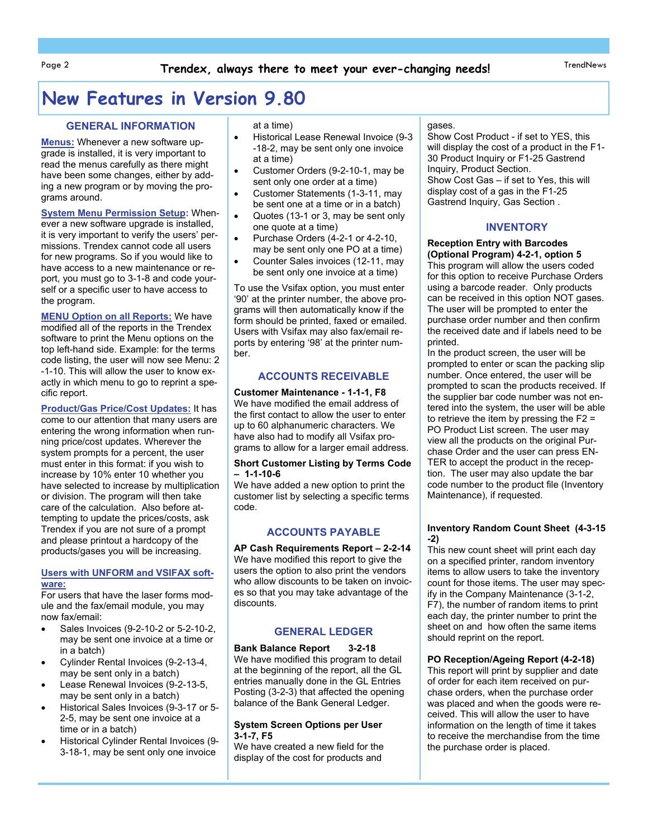# **New Features in Version 9.80**

#### **GENERAL INFORMATION**

**Menus:** Whenever a new software upgrade is installed, it is very important to read the menus carefully as there might have been some changes, either by adding a new program or by moving the programs around.

**System Menu Permission Setup:** Whenever a new software upgrade is installed, it is very important to verify the users' permissions. Trendex cannot code all users for new programs. So if you would like to have access to a new maintenance or report, you must go to 3-1-8 and code yourself or a specific user to have access to the program.

**MENU Option on all Reports:** We have modified all of the reports in the Trendex software to print the Menu options on the top left-hand side. Example: for the terms code listing, the user will now see Menu: 2 -1-10. This will allow the user to know exactly in which menu to go to reprint a specific report.

**Product/Gas Price/Cost Updates:** It has come to our attention that many users are entering the wrong information when running price/cost updates. Wherever the system prompts for a percent, the user must enter in this format: if you wish to increase by 10% enter 10 whether you have selected to increase by multiplication or division. The program will then take care of the calculation. Also before attempting to update the prices/costs, ask Trendex if you are not sure of a prompt and please printout a hardcopy of the products/gases you will be increasing.

#### **Users with UNFORM and VSIFAX software:**

For users that have the laser forms module and the fax/email module, you may now fax/email:

- Sales Invoices (9-2-10-2 or 5-2-10-2, may be sent one invoice at a time or in a batch)
- Cylinder Rental Invoices (9-2-13-4, may be sent only in a batch)
- Lease Renewal Invoices (9-2-13-5, may be sent only in a batch)
- Historical Sales Invoices (9-3-17 or 5- 2-5, may be sent one invoice at a time or in a batch)
- Historical Cylinder Rental Invoices (9- 3-18-1, may be sent only one invoice

at a time)

- Historical Lease Renewal Invoice (9-3 -18-2, may be sent only one invoice at a time)
- Customer Orders (9-2-10-1, may be sent only one order at a time)
- Customer Statements (1-3-11, may be sent one at a time or in a batch)
- Quotes (13-1 or 3, may be sent only one quote at a time)
- Purchase Orders (4-2-1 or 4-2-10, may be sent only one PO at a time)
- Counter Sales invoices (12-11, may be sent only one invoice at a time)

To use the Vsifax option, you must enter '90' at the printer number, the above programs will then automatically know if the form should be printed, faxed or emailed. Users with Vsifax may also fax/email reports by entering '98' at the printer number.

#### **ACCOUNTS RECEIVABLE**

**Customer Maintenance - 1-1-1, F8**  We have modified the email address of the first contact to allow the user to enter up to 60 alphanumeric characters. We have also had to modify all Vsifax programs to allow for a larger email address.

#### **Short Customer Listing by Terms Code – 1-1-10-6**

We have added a new option to print the customer list by selecting a specific terms code.

#### **ACCOUNTS PAYABLE**

**AP Cash Requirements Report – 2-2-14**  We have modified this report to give the users the option to also print the vendors who allow discounts to be taken on invoices so that you may take advantage of the discounts.

#### **GENERAL LEDGER**

**Bank Balance Report 3-2-18**  We have modified this program to detail at the beginning of the report, all the GL entries manually done in the GL Entries Posting (3-2-3) that affected the opening balance of the Bank General Ledger.

#### **System Screen Options per User 3-1-7, F5**

We have created a new field for the display of the cost for products and

#### gases.

Show Cost Product - if set to YES, this will display the cost of a product in the F1- 30 Product Inquiry or F1-25 Gastrend Inquiry, Product Section. Show Cost Gas – if set to Yes, this will display cost of a gas in the F1-25 Gastrend Inquiry, Gas Section .

#### **INVENTORY**

#### **Reception Entry with Barcodes (Optional Program) 4-2-1, option 5**

This program will allow the users coded for this option to receive Purchase Orders using a barcode reader. Only products can be received in this option NOT gases. The user will be prompted to enter the purchase order number and then confirm the received date and if labels need to be printed.

In the product screen, the user will be prompted to enter or scan the packing slip number. Once entered, the user will be prompted to scan the products received. If the supplier bar code number was not entered into the system, the user will be able to retrieve the item by pressing the F2 = PO Product List screen. The user may view all the products on the original Purchase Order and the user can press EN-TER to accept the product in the reception. The user may also update the bar code number to the product file (Inventory Maintenance), if requested.

#### **Inventory Random Count Sheet (4-3-15 -2)**

This new count sheet will print each day on a specified printer, random inventory items to allow users to take the inventory count for those items. The user may specify in the Company Maintenance (3-1-2, F7), the number of random items to print each day, the printer number to print the sheet on and how often the same items should reprint on the report.

#### **PO Reception/Ageing Report (4-2-18)**

This report will print by supplier and date of order for each item received on purchase orders, when the purchase order was placed and when the goods were received. This will allow the user to have information on the length of time it takes to receive the merchandise from the time the purchase order is placed.